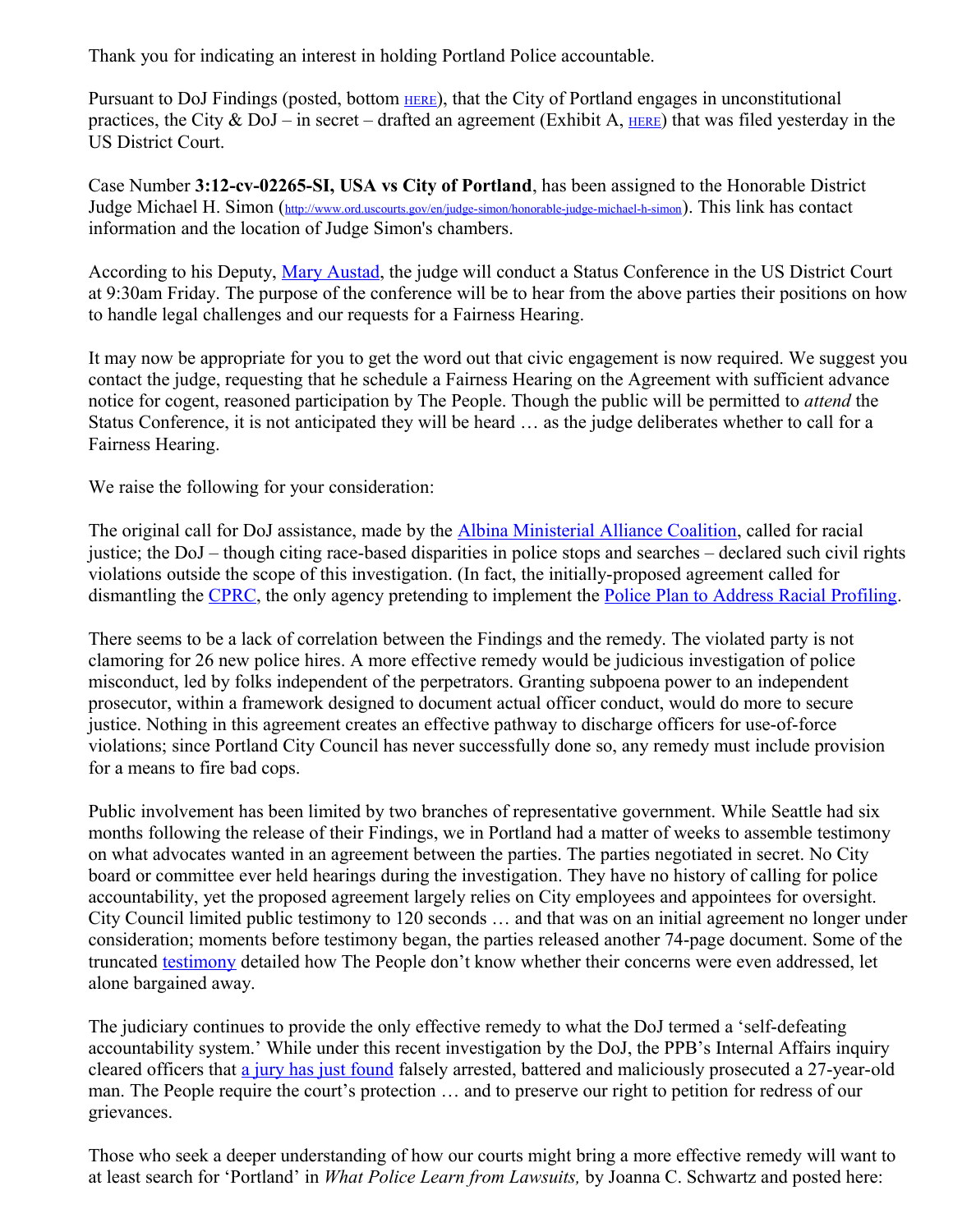Thank you for indicating an interest in holding Portland Police accountable.

Pursuant to DoJ Findings (posted, bottom [HERE](http://www.justice.gov/usao/or/PressReleases/2012/20120913_ppb.html)), that the City of Portland engages in unconstitutional practices, the City & DoJ – in secret – drafted an agreement (Exhibit A,  $_{HERE}$  $_{HERE}$  $_{HERE}$ ) that was filed yesterday in the US District Court.

Case Number **3:12-cv-02265-SI, USA vs City of Portland**, has been assigned to the Honorable District Judge Michael H. Simon (<http://www.ord.uscourts.gov/en/judge-simon/honorable-judge-michael-h-simon>). This link has contact information and the location of Judge Simon's chambers.

According to his Deputy, [Mary Austad,](mailto:Mary_Austad@ord.uscourts.gov) the judge will conduct a Status Conference in the US District Court at 9:30am Friday. The purpose of the conference will be to hear from the above parties their positions on how to handle legal challenges and our requests for a Fairness Hearing.

It may now be appropriate for you to get the word out that civic engagement is now required. We suggest you contact the judge, requesting that he schedule a Fairness Hearing on the Agreement with sufficient advance notice for cogent, reasoned participation by The People. Though the public will be permitted to *attend* the Status Conference, it is not anticipated they will be heard … as the judge deliberates whether to call for a Fairness Hearing.

We raise the following for your consideration:

The original call for DoJ assistance, made by the *Albina Ministerial Alliance Coalition*, called for racial justice; the DoJ – though citing race-based disparities in police stops and searches – declared such civil rights violations outside the scope of this investigation. (In fact, the initially-proposed agreement called for dismantling the [CPRC,](http://www.portlandonline.com/equityandhumanrights/index.cfm?c=49869) the only agency pretending to implement the [Police Plan to Address Racial Profiling.](http://www.portlandoregon.gov/police/article/230887)

There seems to be a lack of correlation between the Findings and the remedy. The violated party is not clamoring for 26 new police hires. A more effective remedy would be judicious investigation of police misconduct, led by folks independent of the perpetrators. Granting subpoena power to an independent prosecutor, within a framework designed to document actual officer conduct, would do more to secure justice. Nothing in this agreement creates an effective pathway to discharge officers for use-of-force violations; since Portland City Council has never successfully done so, any remedy must include provision for a means to fire bad cops.

Public involvement has been limited by two branches of representative government. While Seattle had six months following the release of their Findings, we in Portland had a matter of weeks to assemble testimony on what advocates wanted in an agreement between the parties. The parties negotiated in secret. No City board or committee ever held hearings during the investigation. They have no history of calling for police accountability, yet the proposed agreement largely relies on City employees and appointees for oversight. City Council limited public testimony to 120 seconds … and that was on an initial agreement no longer under consideration; moments before testimony began, the parties released another 74-page document. Some of the truncated [testimony](http://www.portlandonline.com/index.cfm?c=49508&a=419879) detailed how The People don't know whether their concerns were even addressed, let alone bargained away.

The judiciary continues to provide the only effective remedy to what the DoJ termed a 'self-defeating accountability system.' While under this recent investigation by the DoJ, the PPB's Internal Affairs inquiry cleared officers that [a jury has just found](http://www.oregonlive.com/portland/index.ssf/2012/12/city_of_portland_must_pay_3060.html?fb_action_ids=10151190780003553&fb_action_types=og.likes&fb_ref=s=showShareBarUI:p=facebook-like&fb_source=aggregation&fb_aggregation_id=288381481237582) falsely arrested, battered and maliciously prosecuted a 27-year-old man. The People require the court's protection … and to preserve our right to petition for redress of our grievances.

Those who seek a deeper understanding of how our courts might bring a more effective remedy will want to at least search for 'Portland' in *What Police Learn from Lawsuits,* by Joanna C. Schwartz and posted here: